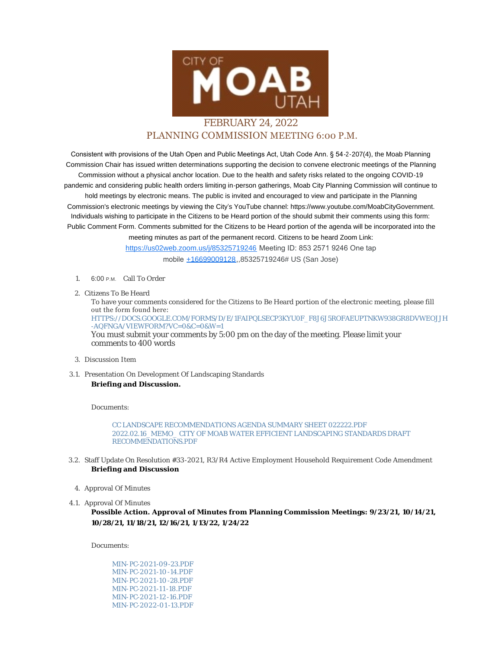

## FEBRUARY 24, 2022 PLANNING COMMISSION MEETING 6:00 P.M.

Consistent with provisions of the Utah Open and Public Meetings Act, Utah Code Ann. § 54-2-207(4), the Moab Planning Commission Chair has issued written determinations supporting the decision to convene electronic meetings of the Planning Commission without a physical anchor location. Due to the health and safety risks related to the ongoing COVID-19 pandemic and considering public health orders limiting in-person gatherings, Moab City Planning Commission will continue to hold meetings by electronic means. The public is invited and encouraged to view and participate in the Planning Commission's electronic meetings by viewing the City's YouTube channel: https://www.youtube.com/MoabCityGovernment. Individuals wishing to participate in the Citizens to be Heard portion of the should submit their comments using this form: Public Comment Form. Comments submitted for the Citizens to be Heard portion of the agenda will be incorporated into the [meeting minutes as part of the permanent re](https://us02web.zoom.us/j/85325719246)cord. Citizens to be heard Zoom Link:

https://us02web.zoom.us/j/85325719246 Meeting ID: 853 2571 9246 One tap mobile [+16699009128](tel:+16699009128),,85325719246# US (San Jose)

## 1. 6:00 P.M. Call To Order

2. Citizens To Be Heard

To have your comments considered for the Citizens to Be Heard portion of the electronic meeting, please fill out the form found here: [HTTPS://DOCS.GOOGLE.COM/FORMS/D/E/1FAIPQLSECP3KYU0F\\_F8J6J5ROFAEUPTNKW938GR8DVWEOJJH](https://docs.google.com/forms/d/e/1FAIpQLSecp3kyu0F_f8J6J5ROfaeUPtNkW938GR8dvweOJjH-aQfNgA/viewform?vc=0&c=0&w=1)

-AQFNGA/VIEWFORM?VC=0&C=0&W=1 You must submit your comments by 5:00 pm on the day of the meeting. Please limit your

comments to 400 words

- Discussion Item 3.
- 3.1. Presentation On Development Of Landscaping Standards **Briefing and Discussion.**

Documents:

[CC LANDSCAPE RECOMMENDATIONS AGENDA SUMMARY SHEET 022222.PDF](https://moabcity.org/AgendaCenter/ViewFile/Item/4680?fileID=5644) [2022.02.16\\_MEMO\\_ CITY OF MOAB WATER EFFICIENT LANDSCAPING STANDARDS D](https://moabcity.org/AgendaCenter/ViewFile/Item/4680?fileID=5645)RAFT RECOMMENDATIONS.PDF

- Staff Update On Resolution #33-2021, R3/R4 Active Employment Household Requirement Code Amendment 3.2. **Briefing and Discussion**
	- 4. Approval Of Minutes
- 4.1. Approval Of Minutes

**Possible Action. Approval of Minutes from Planning Commission Meetings: 9/23/21, 10/14/21, 10/28/21, 11/18/21, 12/16/21, 1/13/22, 1/24/22**

Documents:

[MIN-PC-2021-09-23.PDF](https://moabcity.org/AgendaCenter/ViewFile/Item/4678?fileID=5637) [MIN-PC-2021-10](https://moabcity.org/AgendaCenter/ViewFile/Item/4678?fileID=5638) -14.PDF [MIN-PC-2021-10](https://moabcity.org/AgendaCenter/ViewFile/Item/4678?fileID=5639) -28.PDF [MIN-PC-2021-11](https://moabcity.org/AgendaCenter/ViewFile/Item/4678?fileID=5640) -18.PDF [MIN-PC-2021-12](https://moabcity.org/AgendaCenter/ViewFile/Item/4678?fileID=5641) -16.PDF [MIN-PC-2022-01](https://moabcity.org/AgendaCenter/ViewFile/Item/4678?fileID=5642) -13.PDF